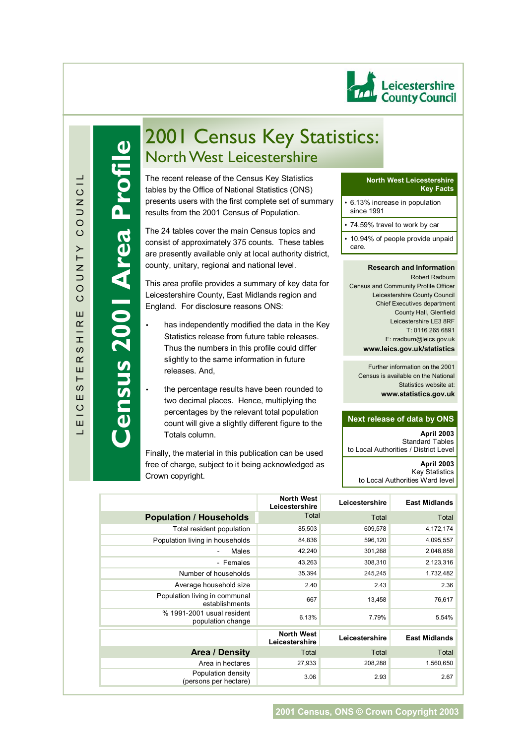

**Census 2001 Area Profile**

ensus 2001 Area Profile

# 2001 Census Key Statistics: North West Leicestershire

tables by the Office of National Statistics (ONS)<br>presents users with the first complete set of summary The recent release of the Census Key Statistics tables by the Office of National Statistics (ONS) results from the 2001 Census of Population.

The 24 tables cover the main Census topics and consist of approximately 375 counts. These tables are presently available only at local authority district, county, unitary, regional and national level.

This area profile provides a summary of key data for Leicestershire County, East Midlands region and England. For disclosure reasons ONS:

- has independently modified the data in the Key Statistics release from future table releases. Thus the numbers in this profile could differ slightly to the same information in future releases. And,
- the percentage results have been rounded to two decimal places. Hence, multiplying the percentages by the relevant total population count will give a slightly different figure to the Totals column.

Finally, the material in this publication can be used free of charge, subject to it being acknowledged as Crown copyright.

#### **North West Leicestershire Key Facts**

- 6.13% increase in population since 1991
- 74.59% travel to work by car
- 10.94% of people provide unpaid care.

#### **Research and Information**

Robert Radburn Census and Community Profile Officer Leicestershire County Council Chief Executives department County Hall, Glenfield Leicestershire LE3 8RF T: 0116 265 6891 E: rradburn@leics.gov.uk **www.leics.gov.uk/statistics**

Further information on the 2001 Census is available on the National Statistics website at: **www.statistics.gov.uk**

#### **Next release of data by ONS**

**April 2003**  Standard Tables to Local Authorities / District Level **April 2003** Key Statistics to Local Authorities Ward level

|                                                 | <b>North West</b><br>Leicestershire | Leicestershire | <b>East Midlands</b> |
|-------------------------------------------------|-------------------------------------|----------------|----------------------|
| <b>Population / Households</b>                  | Total                               | Total          | Total                |
| Total resident population                       | 85,503                              | 609,578        | 4,172,174            |
| Population living in households                 | 84,836                              | 596,120        | 4,095,557            |
| Males                                           | 42,240                              | 301,268        | 2,048,858            |
| - Females                                       | 43,263                              | 308,310        | 2,123,316            |
| Number of households                            | 35,394                              | 245,245        | 1,732,482            |
| Average household size                          | 2.40                                | 2.43           | 2.36                 |
| Population living in communal<br>establishments | 667                                 | 13,458         | 76,617               |
| % 1991-2001 usual resident<br>population change | 6.13%                               | 7.79%          | 5.54%                |
|                                                 | <b>North West</b><br>Leicestershire | Leicestershire | <b>East Midlands</b> |
| <b>Area / Density</b>                           | Total                               | Total          | Total                |
| Area in hectares                                | 27,933                              | 208,288        | 1,560,650            |
| Population density<br>(persons per hectare)     | 3.06                                | 2.93           | 2.67                 |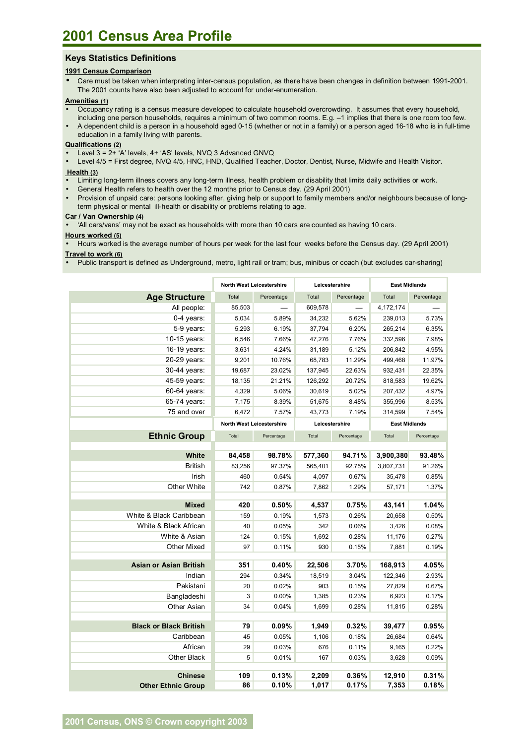# **Keys Statistics Definitions**

## **1991 Census Comparison**

• Care must be taken when interpreting inter-census population, as there have been changes in definition between 1991-2001. The 2001 counts have also been adjusted to account for under-enumeration.

### **Amenities (1)**

- Occupancy rating is a census measure developed to calculate household overcrowding. It assumes that every household, including one person households, requires a minimum of two common rooms. E.g. -1 implies that there is one room too few.
- A dependent child is a person in a household aged 0-15 (whether or not in a family) or a person aged 16-18 who is in full-time education in a family living with parents.

# **Qualifications (2)**

- Level 3 = 2+ 'A' levels, 4+ 'AS' levels, NVQ 3 Advanced GNVQ
- Level 4/5 = First degree, NVQ 4/5, HNC, HND, Qualified Teacher, Doctor, Dentist, Nurse, Midwife and Health Visitor.

#### **Health (3)**

- Limiting long-term illness covers any long-term illness, health problem or disability that limits daily activities or work.
- General Health refers to health over the 12 months prior to Census day. (29 April 2001)
- Provision of unpaid care: persons looking after, giving help or support to family members and/or neighbours because of longterm physical or mental ill-health or disability or problems relating to age.

### **Car / Van Ownership (4)**

• ëAll cars/vansí may not be exact as households with more than 10 cars are counted as having 10 cars.

#### **Hours worked (5)**

• Hours worked is the average number of hours per week for the last four weeks before the Census day. (29 April 2001) **Travel to work (6)**

• Public transport is defined as Underground, metro, light rail or tram; bus, minibus or coach (but excludes car-sharing)

|                               | <b>North West Leicestershire</b> |            | Leicestershire |            | <b>East Midlands</b> |            |
|-------------------------------|----------------------------------|------------|----------------|------------|----------------------|------------|
| <b>Age Structure</b>          | Total                            | Percentage | Total          | Percentage | Total                | Percentage |
| All people:                   | 85,503                           |            | 609,578        |            | 4,172,174            |            |
| 0-4 years:                    | 5,034                            | 5.89%      | 34,232         | 5.62%      | 239,013              | 5.73%      |
| 5-9 years:                    | 5,293                            | 6.19%      | 37,794         | 6.20%      | 265,214              | 6.35%      |
| 10-15 years:                  | 6,546                            | 7.66%      | 47,276         | 7.76%      | 332,596              | 7.98%      |
| 16-19 years:                  | 3,631                            | 4.24%      | 31,189         | 5.12%      | 206,842              | 4.95%      |
| 20-29 years:                  | 9,201                            | 10.76%     | 68,783         | 11.29%     | 499,468              | 11.97%     |
| 30-44 years:                  | 19,687                           | 23.02%     | 137,945        | 22.63%     | 932,431              | 22.35%     |
| 45-59 years:                  | 18,135                           | 21.21%     | 126,292        | 20.72%     | 818,583              | 19.62%     |
| 60-64 years:                  | 4,329                            | 5.06%      | 30,619         | 5.02%      | 207,432              | 4.97%      |
| 65-74 years:                  | 7,175                            | 8.39%      | 51,675         | 8.48%      | 355,996              | 8.53%      |
| 75 and over                   | 6,472                            | 7.57%      | 43,773         | 7.19%      | 314,599              | 7.54%      |
|                               | North West Leicestershire        |            | Leicestershire |            | <b>East Midlands</b> |            |
| <b>Ethnic Group</b>           | Total                            | Percentage | Total          | Percentage | Total                | Percentage |
|                               |                                  |            |                |            |                      |            |
| White                         | 84,458                           | 98.78%     | 577,360        | 94.71%     | 3,900,380            | 93.48%     |
| <b>British</b>                | 83,256                           | 97.37%     | 565,401        | 92.75%     | 3,807,731            | 91.26%     |
| Irish                         | 460                              | 0.54%      | 4,097          | 0.67%      | 35,478               | 0.85%      |
| Other White                   | 742                              | 0.87%      | 7,862          | 1.29%      | 57,171               | 1.37%      |
|                               |                                  |            |                |            |                      |            |
| <b>Mixed</b>                  | 420                              | 0.50%      | 4,537          | 0.75%      | 43,141               | 1.04%      |
| White & Black Caribbean       | 159                              | 0.19%      | 1,573          | 0.26%      | 20,658               | 0.50%      |
| White & Black African         | 40                               | 0.05%      | 342            | 0.06%      | 3,426                | 0.08%      |
| White & Asian                 | 124                              | 0.15%      | 1,692          | 0.28%      | 11,176               | 0.27%      |
| Other Mixed                   | 97                               | 0.11%      | 930            | 0.15%      | 7,881                | 0.19%      |
| <b>Asian or Asian British</b> | 351                              | 0.40%      | 22,506         | 3.70%      | 168,913              | 4.05%      |
| Indian                        | 294                              | 0.34%      | 18,519         | 3.04%      | 122,346              | 2.93%      |
| Pakistani                     | 20                               | 0.02%      | 903            | 0.15%      | 27,829               | 0.67%      |
| Bangladeshi                   | 3                                | 0.00%      | 1,385          | 0.23%      | 6,923                | 0.17%      |
| <b>Other Asian</b>            | 34                               | 0.04%      | 1,699          | 0.28%      | 11,815               | 0.28%      |
|                               |                                  |            |                |            |                      |            |
| <b>Black or Black British</b> | 79                               | 0.09%      | 1,949          | 0.32%      | 39,477               | 0.95%      |
| Caribbean                     | 45                               | 0.05%      | 1,106          | 0.18%      | 26,684               | 0.64%      |
| African                       | 29                               | 0.03%      | 676            | 0.11%      | 9,165                | 0.22%      |
| Other Black                   | 5                                | 0.01%      | 167            | 0.03%      | 3,628                | 0.09%      |
|                               |                                  |            |                |            |                      |            |
| <b>Chinese</b>                | 109                              | 0.13%      | 2,209          | 0.36%      | 12,910               | 0.31%      |
| <b>Other Ethnic Group</b>     | 86                               | 0.10%      | 1,017          | 0.17%      | 7,353                | 0.18%      |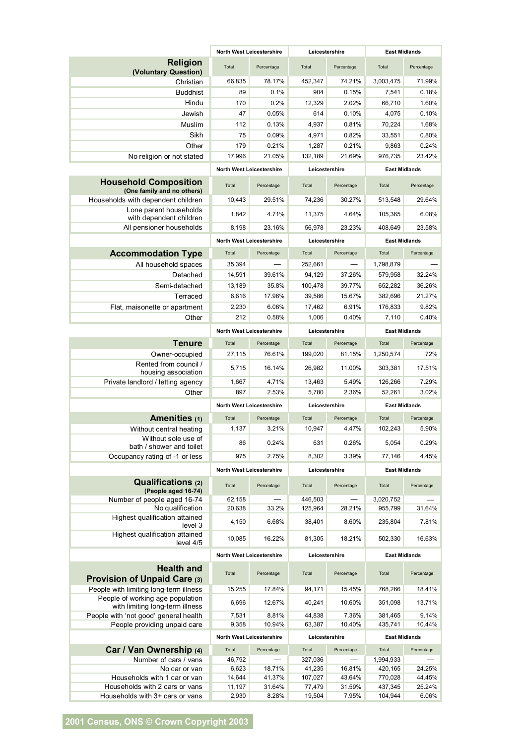|                                                                     | <b>North West Leicestershire</b> |            | Leicestershire |                | <b>East Midlands</b> |                      |  |
|---------------------------------------------------------------------|----------------------------------|------------|----------------|----------------|----------------------|----------------------|--|
| <b>Religion</b><br>(Voluntary Question)                             | Total                            | Percentage | Total          | Percentage     | Total                | Percentage           |  |
| Christian                                                           | 66,835                           | 78.17%     | 452,347        | 74.21%         | 3,003,475            | 71.99%               |  |
| <b>Buddhist</b>                                                     | 89                               | 0.1%       | 904            | 0.15%          | 7,541                | 0.18%                |  |
| Hindu                                                               | 170                              | 0.2%       | 12,329         | 2.02%          | 66,710               | 1.60%                |  |
| Jewish                                                              | 47                               | 0.05%      | 614            | 0.10%          | 4,075                | 0.10%                |  |
| Muslim                                                              | 112                              | 0.13%      | 4,937          | 0.81%          | 70,224               | 1.68%                |  |
| Sikh                                                                | 75                               | 0.09%      | 4,971          | 0.82%          | 33,551               | 0.80%                |  |
| Other                                                               | 179                              | 0.21%      | 1,287          | 0.21%          | 9,863                | 0.24%                |  |
| No religion or not stated                                           | 17,996                           | 21.05%     | 132,189        | 21.69%         | 976,735              | 23.42%               |  |
|                                                                     | North West Leicestershire        |            | Leicestershire |                | <b>East Midlands</b> |                      |  |
| <b>Household Composition</b><br>(One family and no others)          | Total                            | Percentage | Total          | Percentage     | Total                | Percentage           |  |
| Households with dependent children                                  | 10,443                           | 29.51%     | 74,236         | 30.27%         | 513,548              | 29.64%               |  |
| Lone parent households<br>with dependent children                   | 1,842                            | 4.71%      | 11,375         | 4.64%          | 105,365              | 6.08%                |  |
| All pensioner households                                            | 8,198                            | 23.16%     | 56,978         | 23.23%         | 408,649              | 23.58%               |  |
|                                                                     | North West Leicestershire        |            | Leicestershire |                | <b>East Midlands</b> |                      |  |
| <b>Accommodation Type</b>                                           | Total                            | Percentage | Total          | Percentage     | Total                | Percentage           |  |
| All household spaces                                                | 35,394                           |            | 252.661        |                | 1,798,879            |                      |  |
| Detached                                                            | 14,591                           | 39.61%     | 94,129         | 37.26%         | 579,958              | 32.24%               |  |
| Semi-detached                                                       | 13,189                           | 35.8%      | 100,478        | 39.77%         | 652,282              | 36.26%               |  |
| Terraced                                                            | 6.616                            | 17.96%     | 39,586         | 15.67%         | 382,696              | 21.27%               |  |
| Flat, maisonette or apartment                                       | 2,230                            | 6.06%      | 17,462         | 6.91%          | 176,833              | 9.82%                |  |
| Other                                                               | 212                              | 0.58%      | 1,006          | 0.40%          | 7,110                | 0.40%                |  |
|                                                                     | <b>North West Leicestershire</b> |            |                | Leicestershire |                      | <b>East Midlands</b> |  |
| <b>Tenure</b>                                                       | Total                            | Percentage | Total          | Percentage     | Total                | Percentage           |  |
| Owner-occupied                                                      | 27,115                           | 76.61%     | 199,020        | 81.15%         | 1,250,574            | 72%                  |  |
| Rented from council /                                               |                                  |            |                |                |                      |                      |  |
| housing association                                                 | 5,715                            | 16.14%     | 26,982         | 11.00%         | 303,381              | 17.51%               |  |
| Private landlord / letting agency                                   | 1,667                            | 4.71%      | 13,463         | 5.49%          | 126,266              | 7.29%                |  |
| Other                                                               | 897                              | 2.53%      | 5,780          | 2.36%          | 52,261               | 3.02%                |  |
|                                                                     | North West Leicestershire        |            | Leicestershire |                | <b>East Midlands</b> |                      |  |
| Amenities (1)                                                       | Total                            | Percentage | Total          | Percentage     | Total                | Percentage           |  |
| Without central heating                                             | 1,137                            | 3.21%      | 10,947         | 4.47%          | 102,243              | 5.90%                |  |
| Without sole use of<br>bath / shower and toilet                     | 86                               | 0.24%      | 631            | 0.26%          | 5,054                | 0.29%                |  |
| Occupancy rating of -1 or less                                      | 975                              | 2.75%      | 8,302          | 3.39%          | 77,146               | 4.45%                |  |
|                                                                     | North West Leicestershire        |            | Leicestershire |                | <b>East Midlands</b> |                      |  |
| <b>Qualifications (2)</b><br>(People aged 16-74)                    | Total                            | Percentage | Total          | Percentage     | Total                | Percentage           |  |
| Number of people aged 16-74                                         | 62,158                           |            | 446,503        |                | 3,020,752            |                      |  |
| No qualification                                                    | 20,638                           | 33.2%      | 125,964        | 28.21%         | 955,799              | 31.64%               |  |
| Highest qualification attained<br>level 3                           | 4,150                            | 6.68%      | 38,401         | 8.60%          | 235,804              | 7.81%                |  |
| Highest qualification attained<br>level 4/5                         | 10,085                           | 16.22%     | 81,305         | 18.21%         | 502,330              | 16.63%               |  |
|                                                                     | North West Leicestershire        |            | Leicestershire |                | <b>East Midlands</b> |                      |  |
| <b>Health and</b>                                                   |                                  |            |                |                |                      |                      |  |
| <b>Provision of Unpaid Care (3)</b>                                 | Total                            | Percentage | Total          | Percentage     | Total                | Percentage           |  |
| People with limiting long-term illness                              | 15,255                           | 17.84%     | 94,171         | 15.45%         | 768,266              | 18.41%               |  |
| People of working age population<br>with limiting long-term illness | 6,696                            | 12.67%     | 40,241         | 10.60%         | 351,098              | 13.71%               |  |
| People with 'not good' general health                               | 7,531                            | 8.81%      | 44,838         | 7.36%          | 381,465              | 9.14%                |  |
| People providing unpaid care                                        | 9,358                            | 10.94%     | 63,387         | 10.40%         | 435,741              | 10.44%               |  |
|                                                                     | North West Leicestershire        |            | Leicestershire |                | <b>East Midlands</b> |                      |  |
| Car / Van Ownership (4)                                             | Total                            | Percentage | Total          | Percentage     | Total                | Percentage           |  |
| Number of cars / vans                                               | 46,792                           |            | 327,036        |                | 1,994,933            |                      |  |
| No car or van                                                       | 6,623                            | 18.71%     | 41,235         | 16.81%         | 420,165              | 24.25%               |  |
| Households with 1 car or van                                        | 14,644                           | 41.37%     | 107,027        | 43.64%         | 770,028              | 44.45%               |  |
| Households with 2 cars or vans                                      | 11,197                           | 31.64%     | 77,479         | 31.59%         | 437,345              | 25.24%               |  |
| Households with 3+ cars or vans                                     | 2,930                            | 8.28%      | 19,504         | 7.95%          | 104,944              | 6.06%                |  |